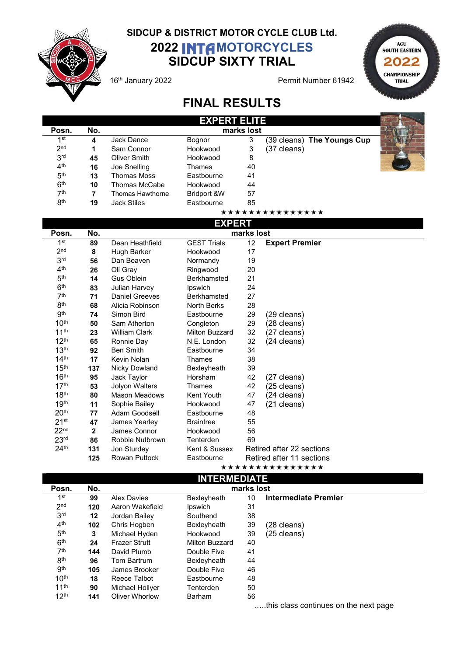

## SIDCUP & DISTRICT MOTOR CYCLE CLUB Ltd. 2022 INTA MOTORCYCLES SIDCUP SIXTY TRIAL

16<sup>th</sup> January 2022 **Permit Number 61942** 



 $\frac{1}{2}$ 

## FINAL RESULTS

|                 |     |                    | <b>EXPERT ELITE</b> |    |                            |  |  |  |  |
|-----------------|-----|--------------------|---------------------|----|----------------------------|--|--|--|--|
| Posn.           | No. | marks lost         |                     |    |                            |  |  |  |  |
| 1st             | 4   | Jack Dance         | <b>Bognor</b>       | 3  | (39 cleans) The Youngs Cup |  |  |  |  |
| 2 <sub>nd</sub> |     | Sam Connor         | Hookwood            | 3  | (37 cleans)                |  |  |  |  |
| 3 <sup>rd</sup> | 45  | Oliver Smith       | Hookwood            | 8  |                            |  |  |  |  |
| 4 <sup>th</sup> | 16  | Joe Snelling       | Thames              | 40 |                            |  |  |  |  |
| 5 <sup>th</sup> | 13  | Thomas Moss        | Eastbourne          | 41 |                            |  |  |  |  |
| 6 <sup>th</sup> | 10  | Thomas McCabe      | Hookwood            | 44 |                            |  |  |  |  |
| 7th             | 7   | Thomas Hawthorne   | Bridport &W         | 57 |                            |  |  |  |  |
| 8 <sup>th</sup> | 19  | <b>Jack Stiles</b> | Eastbourne          | 85 |                            |  |  |  |  |
|                 |     |                    |                     |    | ***************            |  |  |  |  |

EXPERT

|                    |              |                      | EXPERI             |    |                           |  |  |
|--------------------|--------------|----------------------|--------------------|----|---------------------------|--|--|
| Posn.              | No.          | marks lost           |                    |    |                           |  |  |
| 1 <sup>st</sup>    | 89           | Dean Heathfield      | <b>GEST Trials</b> | 12 | <b>Expert Premier</b>     |  |  |
| 2 <sub>nd</sub>    | 8            | Hugh Barker          | Hookwood           | 17 |                           |  |  |
| 3 <sup>rd</sup>    | 56           | Dan Beaven           | Normandy           | 19 |                           |  |  |
| 4 <sup>th</sup>    | 26           | Oli Gray             | Ringwood           | 20 |                           |  |  |
| 5 <sup>th</sup>    | 14           | <b>Gus Oblein</b>    | <b>Berkhamsted</b> | 21 |                           |  |  |
| 6 <sup>th</sup>    | 83           | Julian Harvey        | Ipswich            | 24 |                           |  |  |
| 7 <sup>th</sup>    | 71           | Daniel Greeves       | <b>Berkhamsted</b> | 27 |                           |  |  |
| 8 <sup>th</sup>    | 68           | Alicia Robinson      | <b>North Berks</b> | 28 |                           |  |  |
| <b>gth</b>         | 74           | Simon Bird           | Eastbourne         | 29 | (29 cleans)               |  |  |
| 10 <sup>th</sup>   | 50           | Sam Atherton         | Congleton          | 29 | (28 cleans)               |  |  |
| 11 <sup>th</sup>   | 23           | <b>William Clark</b> | Milton Buzzard     | 32 | (27 cleans)               |  |  |
| 12 <sup>th</sup>   | 65           | Ronnie Day           | N.E. London        | 32 | (24 cleans)               |  |  |
| 13 <sup>th</sup>   | 92           | <b>Ben Smith</b>     | Eastbourne         | 34 |                           |  |  |
| 14 <sup>th</sup>   | 17           | Kevin Nolan          | Thames             | 38 |                           |  |  |
| 15 <sup>th</sup>   | 137          | <b>Nicky Dowland</b> | Bexleyheath        | 39 |                           |  |  |
| 16 <sup>th</sup>   | 95           | Jack Taylor          | Horsham            | 42 | (27 cleans)               |  |  |
| 17 <sup>th</sup>   | 53           | Jolyon Walters       | Thames             | 42 | (25 cleans)               |  |  |
| 18 <sup>th</sup>   | 80           | <b>Mason Meadows</b> | Kent Youth         | 47 | (24 cleans)               |  |  |
| 19 <sup>th</sup>   | 11           | Sophie Bailey        | Hookwood           | 47 | (21 cleans)               |  |  |
| 20 <sup>th</sup>   | 77           | Adam Goodsell        | Eastbourne         | 48 |                           |  |  |
| $21$ <sup>st</sup> | 47           | James Yearley        | <b>Braintree</b>   | 55 |                           |  |  |
| 22 <sup>nd</sup>   | $\mathbf{2}$ | James Connor         | Hookwood           | 56 |                           |  |  |
| 23 <sup>rd</sup>   | 86           | Robbie Nutbrown      | Tenterden          | 69 |                           |  |  |
| 24 <sup>th</sup>   | 131          | Jon Sturdey          | Kent & Sussex      |    | Retired after 22 sections |  |  |
|                    | 125          | <b>Rowan Puttock</b> | Eastbourne         |    | Retired after 11 sections |  |  |
|                    |              |                      |                    |    |                           |  |  |

\*\*\*\*\*\*\*\*\*\*\*\*\*\*\*

| <b>INTERMEDIATE</b> |     |                      |                |    |                            |  |  |
|---------------------|-----|----------------------|----------------|----|----------------------------|--|--|
| Posn.               | No. | marks lost           |                |    |                            |  |  |
| 1st                 | 99  | <b>Alex Davies</b>   | Bexleyheath    | 10 | Intermediate Premier       |  |  |
| 2 <sub>nd</sub>     | 120 | Aaron Wakefield      | Ipswich        | 31 |                            |  |  |
| 3 <sup>rd</sup>     | 12  | Jordan Bailey        | Southend       | 38 |                            |  |  |
| 4 <sup>th</sup>     | 102 | Chris Hogben         | Bexleyheath    | 39 | (28 cleans)                |  |  |
| 5 <sup>th</sup>     | 3   | Michael Hyden        | Hookwood       | 39 | $(25 \text{ clean})$       |  |  |
| 6 <sup>th</sup>     | 24  | <b>Frazer Strutt</b> | Milton Buzzard | 40 |                            |  |  |
| 7 <sup>th</sup>     | 144 | David Plumb          | Double Five    | 41 |                            |  |  |
| 8 <sup>th</sup>     | 96  | Tom Bartrum          | Bexleyheath    | 44 |                            |  |  |
| <b>gth</b>          | 105 | James Brooker        | Double Five    | 46 |                            |  |  |
| 10 <sup>th</sup>    | 18  | Reece Talbot         | Eastbourne     | 48 |                            |  |  |
| 11 <sup>th</sup>    | 90  | Michael Hollyer      | Tenterden      | 50 |                            |  |  |
| 12 <sup>th</sup>    | 141 | Oliver Whorlow       | <b>Barham</b>  | 56 |                            |  |  |
|                     |     |                      |                |    | $\cdots$<br>$\blacksquare$ |  |  |

…..this class continues on the next page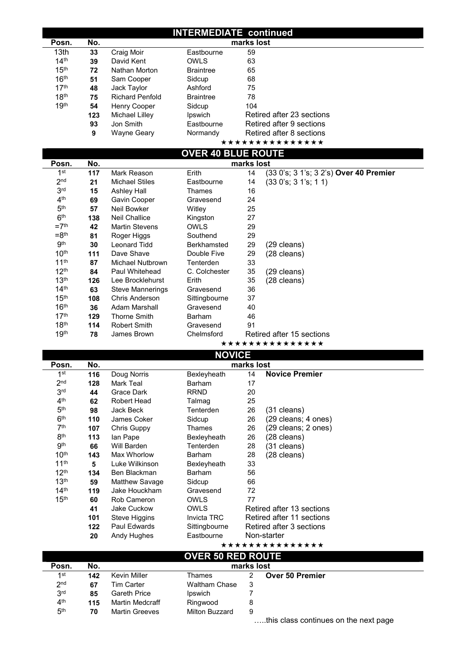## INTERMEDIATE continued

| Posn.                                | No.       |                                                  |                           | marks lost |                                              |
|--------------------------------------|-----------|--------------------------------------------------|---------------------------|------------|----------------------------------------------|
| 13th                                 | 33        | Craig Moir                                       | Eastbourne                | 59         |                                              |
| 14 <sup>th</sup>                     | 39        | David Kent                                       | <b>OWLS</b>               | 63         |                                              |
| 15 <sup>th</sup>                     | 72        | Nathan Morton                                    | <b>Braintree</b>          | 65         |                                              |
| 16 <sup>th</sup>                     | 51        | Sam Cooper                                       | Sidcup                    | 68         |                                              |
| 17 <sup>th</sup>                     | 48        | Jack Taylor                                      | Ashford                   | 75         |                                              |
| 18 <sup>th</sup>                     | 75        | <b>Richard Penfold</b>                           | <b>Braintree</b>          | 78         |                                              |
| 19 <sup>th</sup>                     | 54        | Henry Cooper                                     | Sidcup                    | 104        |                                              |
|                                      | 123       | Michael Lilley                                   | Ipswich                   |            | Retired after 23 sections                    |
|                                      | 93        | Jon Smith                                        | Eastbourne                |            | Retired after 9 sections                     |
|                                      | 9         | <b>Wayne Geary</b>                               | Normandy                  |            | Retired after 8 sections                     |
|                                      |           |                                                  |                           |            | ***************                              |
|                                      |           |                                                  | <b>OVER 40 BLUE ROUTE</b> |            |                                              |
| Posn.                                | No.       |                                                  |                           | marks lost |                                              |
| 1 <sup>st</sup>                      | 117       | Mark Reason                                      | Erith                     | 14         | (33 0's; 3 1's; 3 2's) Over 40 Premier       |
| 2 <sub>nd</sub>                      | 21        | <b>Michael Stiles</b>                            | Eastbourne                | 14         | (330's; 31's; 11)                            |
| 3 <sup>rd</sup>                      | 15        | <b>Ashley Hall</b>                               | Thames                    | 16         |                                              |
| 4 <sup>th</sup>                      | 69        | <b>Gavin Cooper</b>                              | Gravesend                 | 24         |                                              |
| 5 <sup>th</sup>                      | 57        | <b>Neil Bowker</b>                               | Witley                    | 25         |                                              |
| 6 <sup>th</sup>                      | 138       | <b>Neil Challice</b>                             | Kingston                  | 27         |                                              |
| $=7th$                               | 42        | <b>Martin Stevens</b>                            | <b>OWLS</b>               | 29         |                                              |
| $=8th$                               | 81        | Roger Higgs                                      | Southend                  | 29         |                                              |
| 9 <sup>th</sup>                      | 30        | <b>Leonard Tidd</b>                              | Berkhamsted               | 29         | (29 cleans)                                  |
| 10 <sup>th</sup>                     | 111       | Dave Shave                                       | Double Five               | 29         | (28 cleans)                                  |
| 11 <sup>th</sup>                     | 87        | <b>Michael Nutbrown</b>                          | Tenterden                 | 33         |                                              |
| 12 <sup>th</sup><br>13 <sup>th</sup> | 84        | Paul Whitehead                                   | C. Colchester<br>Erith    | 35         | (29 cleans)                                  |
| 14 <sup>th</sup>                     | 126<br>63 | Lee Brocklehurst                                 | Gravesend                 | 35<br>36   | (28 cleans)                                  |
| 15 <sup>th</sup>                     | 108       | <b>Steve Mannerings</b><br><b>Chris Anderson</b> | Sittingbourne             | 37         |                                              |
| 16 <sup>th</sup>                     | 36        | <b>Adam Marshall</b>                             | Gravesend                 | 40         |                                              |
| 17 <sup>th</sup>                     | 129       | <b>Thorne Smith</b>                              | <b>Barham</b>             | 46         |                                              |
| 18 <sup>th</sup>                     | 114       | <b>Robert Smith</b>                              | Gravesend                 | 91         |                                              |
|                                      |           |                                                  |                           |            |                                              |
|                                      |           |                                                  |                           |            |                                              |
| 19 <sup>th</sup>                     | 78        | James Brown                                      | Chelmsford                |            | Retired after 15 sections<br>*************** |
|                                      |           |                                                  |                           |            |                                              |
| Posn.                                | No.       |                                                  | <b>NOVICE</b>             | marks lost |                                              |
| 1 <sup>st</sup>                      | 116       |                                                  |                           | 14         | <b>Novice Premier</b>                        |
| 2 <sub>nd</sub>                      | 128       | Doug Norris<br>Mark Teal                         | Bexleyheath<br>Barham     |            |                                              |
| 3 <sub>rd</sub>                      | 44        | <b>Grace Dark</b>                                | <b>RRND</b>               | 17<br>20   |                                              |
| 4 <sup>th</sup>                      | 62        | <b>Robert Head</b>                               | Talmag                    | 25         |                                              |
| 5 <sup>th</sup>                      | 98        | <b>Jack Beck</b>                                 | Tenterden                 | 26         | (31 cleans)                                  |
| 6 <sup>th</sup>                      | 110       | James Coker                                      | Sidcup                    | 26         | (29 cleans; 4 ones)                          |
| 7 <sup>th</sup>                      | 107       | <b>Chris Guppy</b>                               | Thames                    | 26         | (29 cleans; 2 ones)                          |
| 8 <sup>th</sup>                      | 113       | lan Pape                                         | Bexleyheath               | 26         | (28 cleans)                                  |
| <b>gth</b>                           | 66        | Will Barden                                      | Tenterden                 | 28         | (31 cleans)                                  |
| 10 <sup>th</sup>                     | 143       | Max Whorlow                                      | Barham                    | 28         | (28 cleans)                                  |
| 11 <sup>th</sup>                     | 5         | Luke Wilkinson                                   | Bexleyheath               | 33         |                                              |
| 12 <sup>th</sup>                     | 134       | Ben Blackman                                     | Barham                    | 56         |                                              |
| 13 <sup>th</sup>                     | 59        | <b>Matthew Savage</b>                            | Sidcup                    | 66         |                                              |
| 14 <sup>th</sup>                     | 119       | Jake Houckham                                    | Gravesend                 | 72         |                                              |
| 15 <sup>th</sup>                     | 60        | Rob Cameron                                      | <b>OWLS</b>               | 77         |                                              |
|                                      | 41        | Jake Cuckow                                      | OWLS                      |            | Retired after 13 sections                    |
|                                      | 101       | <b>Steve Higgins</b>                             | Invicta TRC               |            | Retired after 11 sections                    |
|                                      | 122       | Paul Edwards                                     | Sittingbourne             |            | Retired after 3 sections                     |
|                                      | 20        | Andy Hughes                                      | Eastbourne                |            | Non-starter                                  |
|                                      |           |                                                  |                           |            | ***************                              |
| Posn.                                | No.       |                                                  | <b>OVER 50 RED ROUTE</b>  | marks lost |                                              |
| 1 <sup>st</sup>                      | 142       | Kevin Miller                                     | Thames                    | 2          |                                              |
| 2 <sub>nd</sub>                      | 67        | <b>Tim Carter</b>                                | <b>Waltham Chase</b>      | 3          | Over 50 Premier                              |
| 3 <sup>rd</sup>                      | 85        | <b>Gareth Price</b>                              | Ipswich                   | 7          |                                              |

Milton Buzzard 9

 $5<sup>th</sup>$ 

115 Martin Medcraff<br>70 Martin Greeves